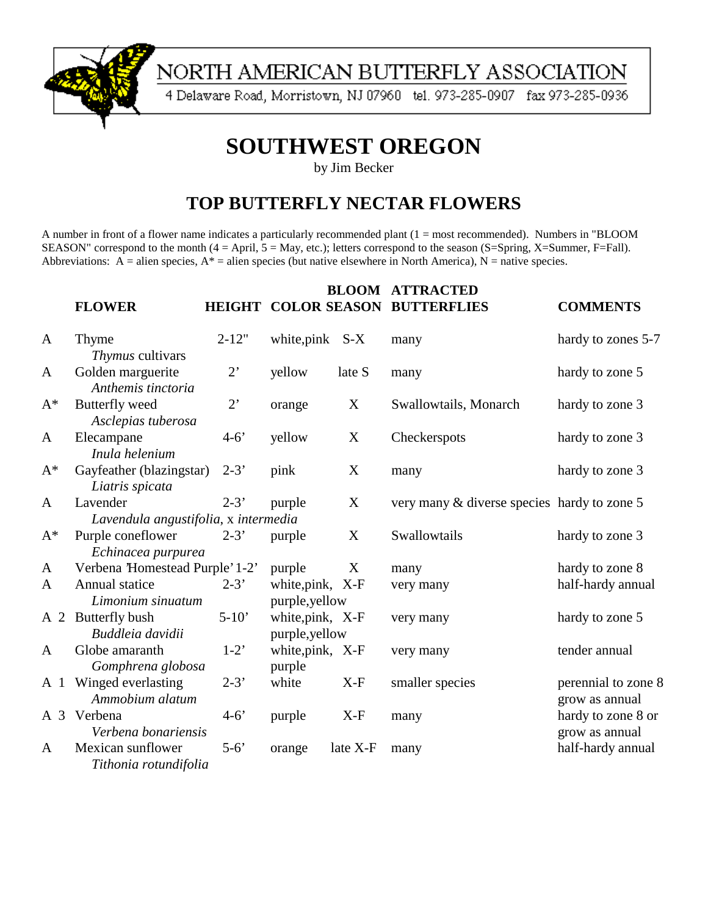

# NORTH AMERICAN BUTTERFLY ASSOCIATION

4 Delaware Road, Morristown, NJ 07960 tel. 973-285-0907 fax 973-285-0936

# **SOUTHWEST OREGON**

by Jim Becker

### **TOP BUTTERFLY NECTAR FLOWERS**

A number in front of a flower name indicates a particularly recommended plant (1 = most recommended). Numbers in "BLOOM SEASON" correspond to the month (4 = April, 5 = May, etc.); letters correspond to the season (S=Spring, X=Summer, F=Fall). Abbreviations:  $A =$  alien species,  $A^* =$  alien species (but native elsewhere in North America), N = native species.

|       | <b>FLOWER</b>                                    |                    |                                   | <b>BLOOM</b> | <b>ATTRACTED</b><br><b>HEIGHT COLOR SEASON BUTTERFLIES</b> | <b>COMMENTS</b>                       |
|-------|--------------------------------------------------|--------------------|-----------------------------------|--------------|------------------------------------------------------------|---------------------------------------|
| A     | Thyme<br>Thymus cultivars                        | $2 - 12"$          | white, pink S-X                   |              | many                                                       | hardy to zones 5-7                    |
| A     | Golden marguerite<br>Anthemis tinctoria          | $2^{\circ}$        | yellow                            | late S       | many                                                       | hardy to zone 5                       |
| $A^*$ | Butterfly weed<br>Asclepias tuberosa             | $2^{\circ}$        | orange                            | X            | Swallowtails, Monarch                                      | hardy to zone 3                       |
| A     | Elecampane<br>Inula helenium                     | $4 - 6'$           | yellow                            | X            | Checkerspots                                               | hardy to zone 3                       |
| $A^*$ | Gayfeather (blazingstar)<br>Liatris spicata      | $2 - 3'$           | pink                              | X            | many                                                       | hardy to zone 3                       |
| A     | Lavender<br>Lavendula angustifolia, x intermedia | $2 - 3'$           | purple                            | $\mathbf X$  | very many & diverse species hardy to zone 5                |                                       |
| $A^*$ | Purple coneflower<br>Echinacea purpurea          | $2 - 3'$           | purple                            | X            | Swallowtails                                               | hardy to zone 3                       |
| A     | Verbena 'Homestead Purple' 1-2'                  |                    | purple                            | X            | many                                                       | hardy to zone 8                       |
| A     | Annual statice<br>Limonium sinuatum              | $2 - 3'$           | white, pink, X-F<br>purple,yellow |              | very many                                                  | half-hardy annual                     |
|       | A 2 Butterfly bush<br>Buddleia davidii           | $5-10'$            | white, pink, X-F<br>purple,yellow |              | very many                                                  | hardy to zone 5                       |
| A     | Globe amaranth<br>Gomphrena globosa              | $1-2$ <sup>*</sup> | white, pink, X-F<br>purple        |              | very many                                                  | tender annual                         |
|       | A 1 Winged everlasting<br>Ammobium alatum        | $2 - 3'$           | white                             | $X-F$        | smaller species                                            | perennial to zone 8<br>grow as annual |
|       | A 3 Verbena<br>Verbena bonariensis               | $4 - 6'$           | purple                            | $X-F$        | many                                                       | hardy to zone 8 or<br>grow as annual  |
| A     | Mexican sunflower<br>Tithonia rotundifolia       | $5-6'$             | orange                            | late X-F     | many                                                       | half-hardy annual                     |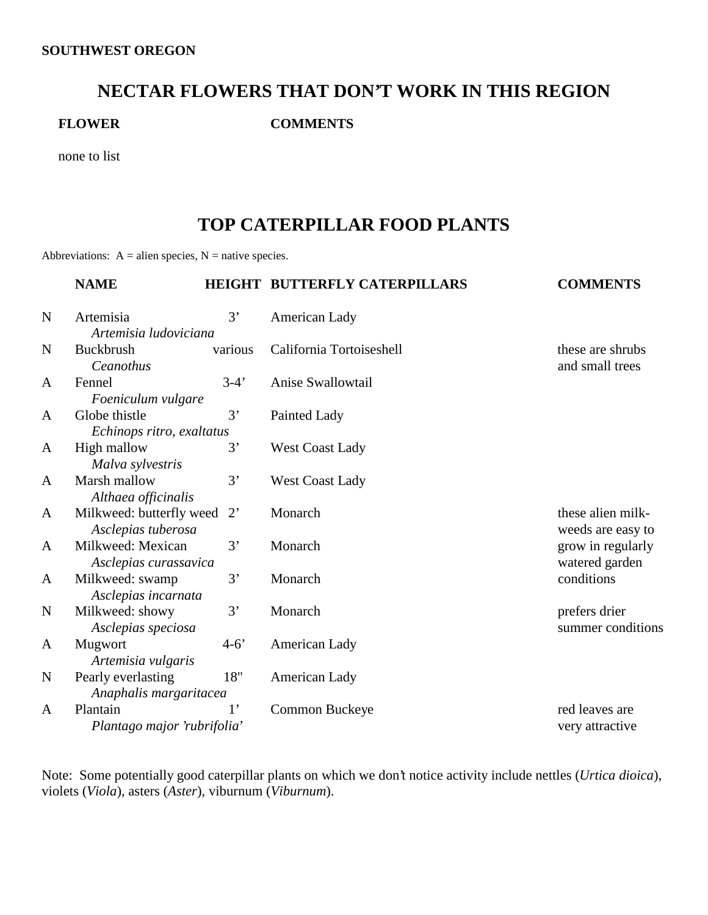#### **NECTAR FLOWERS THAT DON'T WORK IN THIS REGION**

**FLOWER COMMENTS**

none to list

#### **TOP CATERPILLAR FOOD PLANTS**

Abbreviations:  $A =$  alien species,  $N =$  native species.

|              | <b>NAME</b>                                    |             | HEIGHT BUTTERFLY CATERPILLARS | <b>COMMENTS</b>                        |
|--------------|------------------------------------------------|-------------|-------------------------------|----------------------------------------|
| $\mathbf N$  | Artemisia                                      | 3'          | American Lady                 |                                        |
|              | Artemisia ludoviciana                          |             |                               |                                        |
| N            | Buckbrush<br>Ceanothus                         | various     | California Tortoiseshell      | these are shrubs<br>and small trees    |
| A            | Fennel<br>Foeniculum vulgare                   | $3-4'$      | Anise Swallowtail             |                                        |
| A            | Globe thistle                                  | 3'          | Painted Lady                  |                                        |
|              | Echinops ritro, exaltatus                      |             |                               |                                        |
| A            | High mallow                                    | 3'          | <b>West Coast Lady</b>        |                                        |
| A            | Malva sylvestris<br>Marsh mallow               | 3'          | <b>West Coast Lady</b>        |                                        |
|              | Althaea officinalis                            |             |                               |                                        |
| A            | Milkweed: butterfly weed<br>Asclepias tuberosa | $2^{\circ}$ | Monarch                       | these alien milk-<br>weeds are easy to |
| $\mathbf{A}$ | Milkweed: Mexican<br>Asclepias curassavica     | 3'          | Monarch                       | grow in regularly<br>watered garden    |
| A            | Milkweed: swamp<br>Asclepias incarnata         | 3'          | Monarch                       | conditions                             |
| $\mathbf N$  | Milkweed: showy<br>Asclepias speciosa          | 3'          | Monarch                       | prefers drier<br>summer conditions     |
| A            | Mugwort<br>Artemisia vulgaris                  | $4 - 6'$    | American Lady                 |                                        |
| $\mathbf N$  | Pearly everlasting<br>Anaphalis margaritacea   | 18"         | American Lady                 |                                        |
| A            | Plantain                                       | $1^{\circ}$ | Common Buckeye                | red leaves are                         |
|              | Plantago major 'rubrifolia'                    |             |                               | very attractive                        |

Note: Some potentially good caterpillar plants on which we don't notice activity include nettles (*Urtica dioica*), violets (*Viola*), asters (*Aster*), viburnum (*Viburnum*).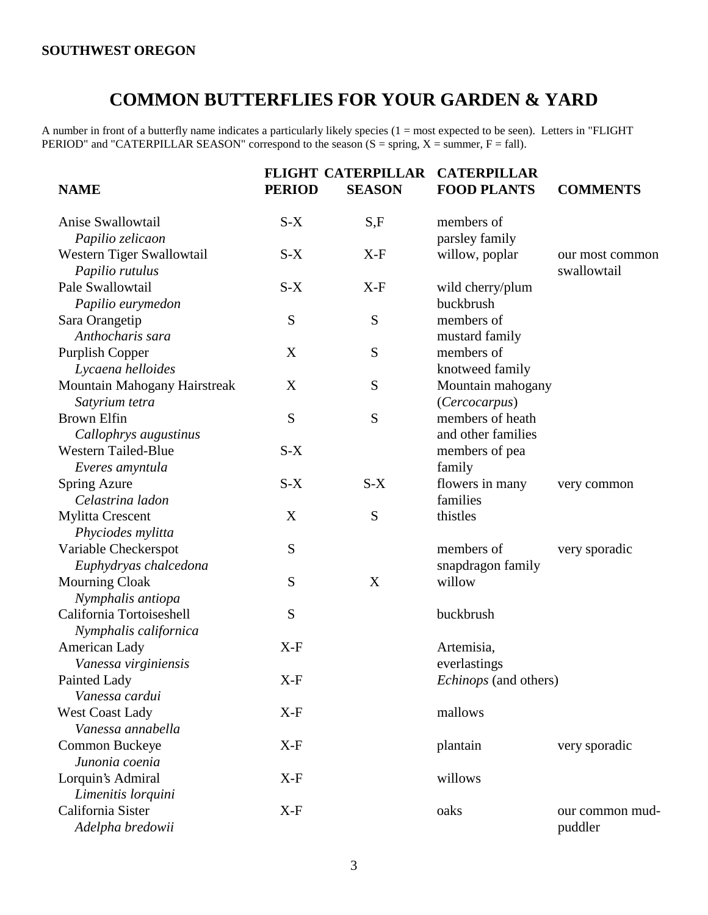## **COMMON BUTTERFLIES FOR YOUR GARDEN & YARD**

A number in front of a butterfly name indicates a particularly likely species (1 = most expected to be seen). Letters in "FLIGHT PERIOD" and "CATERPILLAR SEASON" correspond to the season  $(S = spring, X = summer, F = fall)$ .

| <b>NAME</b>                  | <b>PERIOD</b> | <b>FLIGHT CATERPILLAR</b><br><b>SEASON</b> | <b>CATERPILLAR</b><br><b>FOOD PLANTS</b> | <b>COMMENTS</b> |
|------------------------------|---------------|--------------------------------------------|------------------------------------------|-----------------|
|                              |               |                                            |                                          |                 |
| Anise Swallowtail            | $S-X$         | S,F                                        | members of                               |                 |
| Papilio zelicaon             |               |                                            | parsley family                           |                 |
| Western Tiger Swallowtail    | $S-X$         | $X-F$                                      | willow, poplar                           | our most common |
| Papilio rutulus              |               |                                            |                                          | swallowtail     |
| Pale Swallowtail             | $S-X$         | $X-F$                                      | wild cherry/plum                         |                 |
| Papilio eurymedon            |               |                                            | buckbrush                                |                 |
| Sara Orangetip               | ${\bf S}$     | S                                          | members of                               |                 |
| Anthocharis sara             |               |                                            | mustard family                           |                 |
| <b>Purplish Copper</b>       | X             | S                                          | members of                               |                 |
| Lycaena helloides            |               |                                            | knotweed family                          |                 |
| Mountain Mahogany Hairstreak | X             | S                                          | Mountain mahogany                        |                 |
| Satyrium tetra               |               |                                            | (Cercocarpus)                            |                 |
| <b>Brown Elfin</b>           | S             | S                                          | members of heath                         |                 |
| Callophrys augustinus        |               |                                            | and other families                       |                 |
| <b>Western Tailed-Blue</b>   | $S-X$         |                                            | members of pea                           |                 |
| Everes amyntula              |               |                                            | family                                   |                 |
| <b>Spring Azure</b>          | $S-X$         | $S-X$                                      | flowers in many                          | very common     |
| Celastrina ladon             |               |                                            | families                                 |                 |
| <b>Mylitta Crescent</b>      | X             | ${\bf S}$                                  | thistles                                 |                 |
| Phyciodes mylitta            |               |                                            |                                          |                 |
| Variable Checkerspot         | S             |                                            | members of                               | very sporadic   |
| Euphydryas chalcedona        |               |                                            | snapdragon family                        |                 |
| <b>Mourning Cloak</b>        | ${\bf S}$     | X                                          | willow                                   |                 |
| Nymphalis antiopa            |               |                                            |                                          |                 |
| California Tortoiseshell     | S             |                                            | buckbrush                                |                 |
| Nymphalis californica        |               |                                            |                                          |                 |
| American Lady                | $X-F$         |                                            | Artemisia,                               |                 |
| Vanessa virginiensis         |               |                                            | everlastings                             |                 |
| Painted Lady                 | $X-F$         |                                            | <i>Echinops</i> (and others)             |                 |
| Vanessa cardui               |               |                                            |                                          |                 |
| <b>West Coast Lady</b>       | $X-F$         |                                            | mallows                                  |                 |
| Vanessa annabella            |               |                                            |                                          |                 |
| Common Buckeye               | $X-F$         |                                            | plantain                                 | very sporadic   |
| Junonia coenia               |               |                                            |                                          |                 |
| Lorquin's Admiral            | $X-F$         |                                            | willows                                  |                 |
| Limenitis lorquini           |               |                                            |                                          |                 |
| California Sister            | $X-F$         |                                            | oaks                                     | our common mud- |
| Adelpha bredowii             |               |                                            |                                          | puddler         |